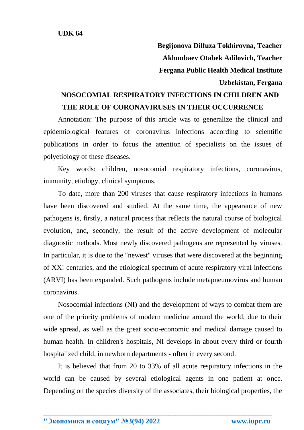**Begijonova Dilfuza Tokhirovna, Teacher Akhunbaev Otabek Adilovich, Teacher Fergana Public Health Medical Institute Uzbekistan, Fergana**

## **NOSOCOMIAL RESPIRATORY INFECTIONS IN CHILDREN AND THE ROLE OF CORONAVIRUSES IN THEIR OCCURRENCE**

Annotation: The purpose of this article was to generalize the clinical and epidemiological features of coronavirus infections according to scientific publications in order to focus the attention of specialists on the issues of polyetiology of these diseases.

Key words: children, nosocomial respiratory infections, coronavirus, immunity, etiology, clinical symptoms.

To date, more than 200 viruses that cause respiratory infections in humans have been discovered and studied. At the same time, the appearance of new pathogens is, firstly, a natural process that reflects the natural course of biological evolution, and, secondly, the result of the active development of molecular diagnostic methods. Most newly discovered pathogens are represented by viruses. In particular, it is due to the "newest" viruses that were discovered at the beginning of XX! centuries, and the etiological spectrum of acute respiratory viral infections (ARVI) has been expanded. Such pathogens include metapneumovirus and human coronavirus.

Nosocomial infections (NI) and the development of ways to combat them are one of the priority problems of modern medicine around the world, due to their wide spread, as well as the great socio-economic and medical damage caused to human health. In children's hospitals, NI develops in about every third or fourth hospitalized child, in newborn departments - often in every second.

It is believed that from 20 to 33% of all acute respiratory infections in the world can be caused by several etiological agents in one patient at once. Depending on the species diversity of the associates, their biological properties, the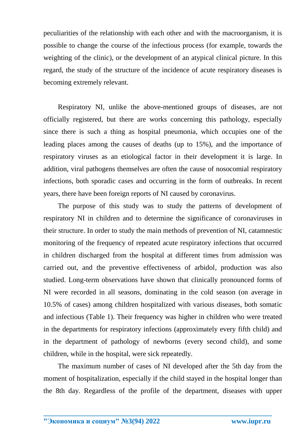peculiarities of the relationship with each other and with the macroorganism, it is possible to change the course of the infectious process (for example, towards the weighting of the clinic), or the development of an atypical clinical picture. In this regard, the study of the structure of the incidence of acute respiratory diseases is becoming extremely relevant.

Respiratory NI, unlike the above-mentioned groups of diseases, are not officially registered, but there are works concerning this pathology, especially since there is such a thing as hospital pneumonia, which occupies one of the leading places among the causes of deaths (up to 15%), and the importance of respiratory viruses as an etiological factor in their development it is large. In addition, viral pathogens themselves are often the cause of nosocomial respiratory infections, both sporadic cases and occurring in the form of outbreaks. In recent years, there have been foreign reports of NI caused by coronavirus.

The purpose of this study was to study the patterns of development of respiratory NI in children and to determine the significance of coronaviruses in their structure. In order to study the main methods of prevention of NI, catamnestic monitoring of the frequency of repeated acute respiratory infections that occurred in children discharged from the hospital at different times from admission was carried out, and the preventive effectiveness of arbidol, production was also studied. Long-term observations have shown that clinically pronounced forms of NI were recorded in all seasons, dominating in the cold season (on average in 10.5% of cases) among children hospitalized with various diseases, both somatic and infectious (Table 1). Their frequency was higher in children who were treated in the departments for respiratory infections (approximately every fifth child) and in the department of pathology of newborns (every second child), and some children, while in the hospital, were sick repeatedly.

The maximum number of cases of NI developed after the 5th day from the moment of hospitalization, especially if the child stayed in the hospital longer than the 8th day. Regardless of the profile of the department, diseases with upper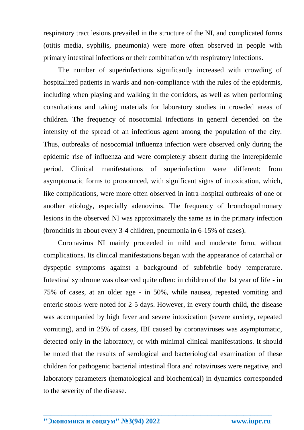respiratory tract lesions prevailed in the structure of the NI, and complicated forms (otitis media, syphilis, pneumonia) were more often observed in people with primary intestinal infections or their combination with respiratory infections.

The number of superinfections significantly increased with crowding of hospitalized patients in wards and non-compliance with the rules of the epidermis, including when playing and walking in the corridors, as well as when performing consultations and taking materials for laboratory studies in crowded areas of children. The frequency of nosocomial infections in general depended on the intensity of the spread of an infectious agent among the population of the city. Thus, outbreaks of nosocomial influenza infection were observed only during the epidemic rise of influenza and were completely absent during the interepidemic period. Clinical manifestations of superinfection were different: from asymptomatic forms to pronounced, with significant signs of intoxication, which, like complications, were more often observed in intra-hospital outbreaks of one or another etiology, especially adenovirus. The frequency of bronchopulmonary lesions in the observed NI was approximately the same as in the primary infection (bronchitis in about every 3-4 children, pneumonia in 6-15% of cases).

Coronavirus NI mainly proceeded in mild and moderate form, without complications. Its clinical manifestations began with the appearance of catarrhal or dyspeptic symptoms against a background of subfebrile body temperature. Intestinal syndrome was observed quite often: in children of the 1st year of life - in 75% of cases, at an older age - in 50%, while nausea, repeated vomiting and enteric stools were noted for 2-5 days. However, in every fourth child, the disease was accompanied by high fever and severe intoxication (severe anxiety, repeated vomiting), and in 25% of cases, IBI caused by coronaviruses was asymptomatic, detected only in the laboratory, or with minimal clinical manifestations. It should be noted that the results of serological and bacteriological examination of these children for pathogenic bacterial intestinal flora and rotaviruses were negative, and laboratory parameters (hematological and biochemical) in dynamics corresponded to the severity of the disease.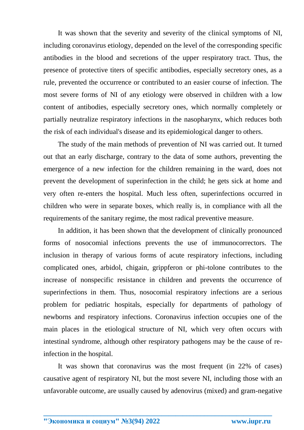It was shown that the severity and severity of the clinical symptoms of NI, including coronavirus etiology, depended on the level of the corresponding specific antibodies in the blood and secretions of the upper respiratory tract. Thus, the presence of protective titers of specific antibodies, especially secretory ones, as a rule, prevented the occurrence or contributed to an easier course of infection. The most severe forms of NI of any etiology were observed in children with a low content of antibodies, especially secretory ones, which normally completely or partially neutralize respiratory infections in the nasopharynx, which reduces both the risk of each individual's disease and its epidemiological danger to others.

The study of the main methods of prevention of NI was carried out. It turned out that an early discharge, contrary to the data of some authors, preventing the emergence of a new infection for the children remaining in the ward, does not prevent the development of superinfection in the child; he gets sick at home and very often re-enters the hospital. Much less often, superinfections occurred in children who were in separate boxes, which really is, in compliance with all the requirements of the sanitary regime, the most radical preventive measure.

In addition, it has been shown that the development of clinically pronounced forms of nosocomial infections prevents the use of immunocorrectors. The inclusion in therapy of various forms of acute respiratory infections, including complicated ones, arbidol, chigain, grippferon or phi-tolone contributes to the increase of nonspecific resistance in children and prevents the occurrence of superinfections in them. Thus, nosocomial respiratory infections are a serious problem for pediatric hospitals, especially for departments of pathology of newborns and respiratory infections. Coronavirus infection occupies one of the main places in the etiological structure of NI, which very often occurs with intestinal syndrome, although other respiratory pathogens may be the cause of reinfection in the hospital.

It was shown that coronavirus was the most frequent (in 22% of cases) causative agent of respiratory NI, but the most severe NI, including those with an unfavorable outcome, are usually caused by adenovirus (mixed) and gram-negative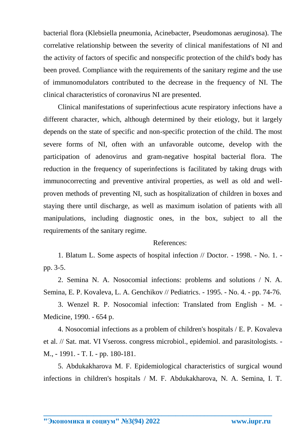bacterial flora (Klebsiella pneumonia, Acinebacter, Pseudomonas aeruginosa). The correlative relationship between the severity of clinical manifestations of NI and the activity of factors of specific and nonspecific protection of the child's body has been proved. Compliance with the requirements of the sanitary regime and the use of immunomodulators contributed to the decrease in the frequency of NI. The clinical characteristics of coronavirus NI are presented.

Clinical manifestations of superinfectious acute respiratory infections have a different character, which, although determined by their etiology, but it largely depends on the state of specific and non-specific protection of the child. The most severe forms of NI, often with an unfavorable outcome, develop with the participation of adenovirus and gram-negative hospital bacterial flora. The reduction in the frequency of superinfections is facilitated by taking drugs with immunocorrecting and preventive antiviral properties, as well as old and wellproven methods of preventing NI, such as hospitalization of children in boxes and staying there until discharge, as well as maximum isolation of patients with all manipulations, including diagnostic ones, in the box, subject to all the requirements of the sanitary regime.

## References:

1. Blatum L. Some aspects of hospital infection // Doctor. - 1998. - No. 1. pp. 3-5.

2. Semina N. A. Nosocomial infections: problems and solutions / N. A. Semina, E. P. Kovaleva, L. A. Genchikov // Pediatrics. - 1995. - No. 4. - pp. 74-76.

3. Wenzel R. P. Nosocomial infection: Translated from English - M. - Medicine, 1990. - 654 p.

4. Nosocomial infections as a problem of children's hospitals / E. P. Kovaleva et al. // Sat. mat. VI Vseross. congress microbiol., epidemiol. and parasitologists. - M., - 1991. - T. I. - pp. 180-181.

5. Abdukakharova M. F. Epidemiological characteristics of surgical wound infections in children's hospitals / M. F. Abdukakharova, N. A. Semina, I. T.